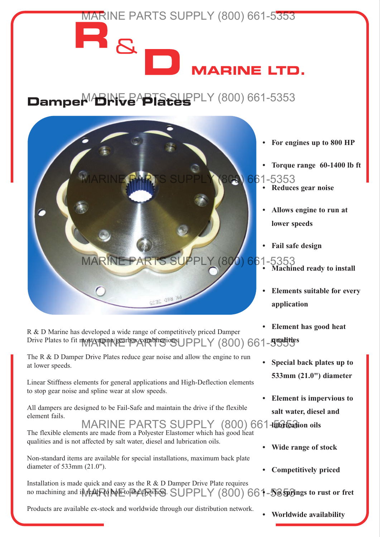

- **Elements suitable for every application**
- **Element has good heat**
- **Special back plates up to 533mm (21.0") diameter**
- **Element is impervious to salt water, diesel and**
- **Wide range of stock**
- **Competitively priced**

no machining and i**\$\feAlR{{\d |\bl**|Eto|#}A{|R\\T\@B\_SUPPLY (800) 66**1-535pBings to rust or fret** Installation is made quick and easy as the R & D Damper Drive Plate requires

Products are available ex-stock and worldwide through our distribution network.

**• Worldwide availability**

Drive Plates to fit most engine/gearbox combinations UPPLY (800) 661-53555

R & D Marine has developed a wide range of competitively priced Damper

The R & D Damper Drive Plates reduce gear noise and allow the engine to run at lower speeds.

Linear Stiffness elements for general applications and High-Deflection elements to stop gear noise and spline wear at slow speeds.

All dampers are designed to be Fail-Safe and maintain the drive if the flexible element fails.

# MARINE PARTS SUPPLY (800) 661-5363 Tab

The flexible elements are made from a Polyester Elastomer which has good heat qualities and is not affected by salt water, diesel and lubrication oils.

Non-standard items are available for special installations, maximum back plate diameter of 533mm (21.0").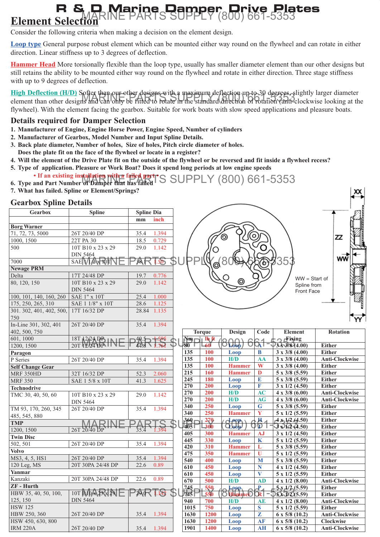#### **Element S R & D Marine Damper Drive Plates** MARINE PARTS SUPPLY (800) 661-5353

Consider the following criteria when making a decision on the element design.

**Loop type** General purpose robust element which can be mounted either way round on the flywheel and can rotate in either direction. Linear stiffness up to 3 degrees of deflection.

**Hammer Head** More torsionally flexible than the loop type, usually has smaller diameter element than our other designs but still retains the ability to be mounted either way round on the flywheel and rotate in either direction. Three stage stiffness with up to 9 degrees of deflection.

High Deflection (H/D) Softex than our other designs with a maximum deflection up to 30 degrees, slightly larger diameter element than other designs and can only be fitted to rotate in the standard direction of rotation (anti-clockwise looking at the element than other designs and can only be fitted to rotate in the standard direction of rota flywheel). With the element facing the gearbox. Suitable for work boats with slow speed applications and pleasure boats.

### **Details required for Damper Selection**

- **1. Manufacturer of Engine, Engine Horse Power, Engine Speed, Number of cylinders**
- **2. Manufacturer of Gearbox, Model Number and Input Spline Details.**
- **3. Back plate diameter, Number of holes, Size of holes, Pitch circle diameter of holes. Does the plate fit on the face of the flywheel or locate in a register?**
- **4. Will the element of the Drive Plate fit on the outside of the flywheel or be reversed and fit inside a flywheel recess? 5. Type of application. Pleasure or Work Boat? Does it spend long periods at low engine speeds**
- **If an existing installation with a failed part 6.** Type and Part Number of Damper that has failed S SUPPLY (800) 661-5353
- **7. What has failed. Spline or Element/Springs?**

## **Gearbox Spline Details**

| Geardox Spillie Details  |                   |                   |                 |                     |               |                                         |                         |                                                       |                                        |
|--------------------------|-------------------|-------------------|-----------------|---------------------|---------------|-----------------------------------------|-------------------------|-------------------------------------------------------|----------------------------------------|
| Gearbox                  | <b>Spline</b>     | <b>Spline Dia</b> |                 |                     |               |                                         |                         |                                                       |                                        |
|                          |                   | mm                | inch            |                     |               |                                         |                         |                                                       |                                        |
| <b>Borg Warner</b>       |                   |                   |                 |                     |               |                                         |                         |                                                       |                                        |
| 71, 72, 73, 5000         | 26T 20/40 DP      | 35.4              | 1.394           |                     |               |                                         |                         |                                                       |                                        |
| 1000, 1500               | 22T PA 30         | 18.5              | 0.729           |                     |               |                                         |                         |                                                       | zz                                     |
| 500                      | 10T B10 x 23 x 29 | 29.0              | 1.142           |                     |               |                                         |                         |                                                       |                                        |
|                          | DIN 5464          |                   |                 |                     |               |                                         |                         |                                                       |                                        |
| 7000                     | SAE VIAX TOT      | <b>38 T</b>       | $\overline{50}$ |                     |               |                                         |                         | 35                                                    | wŵ                                     |
| <b>Newage PRM</b>        |                   |                   |                 |                     |               |                                         |                         |                                                       |                                        |
| Delta                    | 17T 24/48 DP      | 19.7              | 0.776           |                     |               |                                         |                         |                                                       |                                        |
| 80, 120, 150             | 10T B10 x 23 x 29 | 29.0              | 1.142           |                     |               |                                         |                         | $WW = Start of$<br>Spline from                        |                                        |
|                          | <b>DIN 5464</b>   |                   |                 |                     |               |                                         |                         | Front Face                                            |                                        |
| 100, 101, 140, 160, 260  | SAE 1" x 10T      | 25.4              | 1.000           |                     |               |                                         |                         |                                                       |                                        |
| 175, 250, 265, 310       | SAE 1 1/8" x 10T  | 28.6              | 1.125           |                     |               |                                         |                         |                                                       |                                        |
| 301. 302, 401, 402, 500, | 17T 16/32 DP      |                   | 28.84 1.135     |                     |               |                                         |                         |                                                       |                                        |
| 750                      |                   |                   |                 |                     |               |                                         |                         |                                                       |                                        |
| In-Line 301, 302, 401    | 26T 20/40 DP      | 35.4              | 1.394           |                     |               |                                         |                         |                                                       |                                        |
| 402, 500, 750            |                   |                   |                 |                     | <b>Torque</b> | Design                                  | Code                    | <b>Element</b>                                        | <b>Rotation</b>                        |
| 601, 1000                | 18T 12/24 DB      | $40.5 -$          | +১৬১            | $Nm$ of the $\beta$ |               |                                         |                         | $\rightarrow$ Fixing                                  |                                        |
| 1200, 1500               | 20T 12/24 DE IIV  | 44.8              |                 | $8\overline{0}$     |               | $\overline{OP}$                         | $\mathbf{A}$ i          | $3\frac{1}{3}\frac{3}{8}(4.00)$                       | <b>Either</b>                          |
| Paragon                  |                   |                   |                 | 135                 | 100           | Loop                                    | B                       | $3 \times 3/8$ (4.00)                                 | <b>Either</b>                          |
| P Series                 | 26T 20/40 DP      | 35.4              | 1.394           | 135                 | 100           | H/D                                     | AA                      | $3 \times 3/8$ (4.00)                                 | <b>Anti-Clockwise</b>                  |
| <b>Self Change Gear</b>  |                   |                   |                 | 135                 | <b>100</b>    | <b>Hammer</b>                           | W                       | $3 \times 3/8$ (4.00)                                 | <b>Either</b>                          |
| MRF 350HD                | 32T 16/32 DP      | 52.3              | 2.060           | 215                 | 160           | <b>Hammer</b>                           | D                       | 5 x 3/8 (5.59)                                        | <b>Either</b>                          |
| <b>MRF 350</b>           | SAE 1 5/8 x 10T   | 41.3              | 1.625           | 245                 | 180           | Loop                                    | E                       | $5 \times 3/8$ (5.59)                                 | <b>Either</b>                          |
| <b>Technodrive</b>       |                   |                   |                 | 270                 | 200           | Loop                                    | F                       | $\frac{3 \times 1}{2}$ (4.50)                         | <b>Either</b>                          |
| TMC 30, 40, 50, 60       | 10T B10 x 23 x 29 | 29.0              | 1.142           | 270                 | 200           | H/D                                     | <b>AC</b>               | $4 \times 3/8$ (6.00)                                 | <b>Anti-Clockwise</b>                  |
|                          | <b>DIN 5464</b>   |                   |                 | 270                 | 200           | H/D                                     | <b>AG</b>               | $4 \times 3/8$ (6.00)                                 | Anti-Clockwise                         |
| TM 93, 170, 260, 345     | 26T 20/40 DP      | 35.4              | 1.394           | 340                 | 250           | Loop                                    | $\bf G$                 | $5 \times 3/8$ (5.59)                                 | <b>Either</b>                          |
| 485, 545, 880            |                   |                   |                 | 340                 | 250           | <b>Hammer</b>                           | Y                       | $5 \times 1/2$ (5.59)                                 | <b>Either</b>                          |
| <b>TMP</b>               |                   |                   |                 | $360_1$             | 270           | $\overline{A}$ $\rho \rho \overline{P}$ | $\overline{\mathbf{H}}$ | $\sqrt{4 \times 1/2}$ (4.50)                          | <b>Either</b>                          |
| 1200, 1500               | 26T 20/40 DP      |                   |                 | 405 I               | 300           | $Q$ $obp$                               | JD                      | $\Im \sqrt{2 \Im (4.50)}$                             | Either                                 |
| <b>Twin Disc</b>         |                   |                   |                 | 405                 | 300           | <b>Hammer</b>                           | <b>AJ</b>               | $3 \times 1/2$ (4.50)                                 | <b>Either</b>                          |
| 502, 501                 | 26T 20/40 DP      | 35.4              | 1.394           | 445                 | 330           | Loop                                    | K                       | $5 \times 1/2$ (5.59)                                 | <b>Either</b>                          |
| <b>Volvo</b>             |                   |                   |                 | 420                 | 310           | <b>Hammer</b>                           | L                       | $5 \times 3/8$ (5.59)                                 | <b>Either</b>                          |
| MS3, 4, 5, HS1           | 26T 20/40 DP      | 35.4              | 1.394           | 475                 | 350           | <b>Hammer</b>                           | $\mathbf{U}$            | $5 \times 1/2$ (5.59)                                 | <b>Either</b>                          |
| 120 Leg, MS              | 20T 30PA 24/48 DP | 22.6              | 0.89            | 540                 | 400           | Loop                                    | M                       | $5 \times 3/8$ (5.59)                                 | <b>Either</b>                          |
| Yanmar                   |                   |                   |                 | 610                 | 450           | Loop                                    | N                       | $4 \times 1/2$ (4.50)                                 | <b>Either</b>                          |
| Kanzaki                  | 20T 30PA 24/48 DP | 22.6              | 0.89            | 610                 | 450           | Loop<br>H/D                             | $\overline{\mathbf{V}}$ | $5 \times 1/2$ (5.59)<br>$4 \times 1/2$ (8.00)        | <b>Either</b>                          |
| <b>ZF</b> - Hurth        |                   |                   |                 | 670                 | 500<br>550    |                                         | <b>AD</b><br>₽          |                                                       | <b>Anti-Clockwise</b><br><b>Either</b> |
| HBW 35, 40, 50, 100,     | 10T B10A23x 29    |                   |                 | 745<br>745          | 550           | Loap<br><b>Hammer</b>                   | QR I                    | $\frac{1}{2}$ x, $\frac{1}{2}$ (5.59)<br>D5x3/2(5.59) | <b>Either</b>                          |
| 125, 150                 | <b>DIN 5464</b>   |                   |                 | 940                 | 700           | H/D                                     |                         | $4 \times 1/2$ (8.00)                                 | Anti-Clockwise                         |
| <b>HSW 125</b>           |                   |                   |                 | 1015                | 750           | Loop                                    | <b>AE</b><br>S          | $5 \times 1/2$ (5.59)                                 | <b>Either</b>                          |
| HBW 250, 360             | 26T 20/40 DP      | 35.4              | 1.394           | 1630                | 1200          | Loop                                    | $\overline{z}$          | $6 \times 5/8$ (10.2)                                 | <b>Anti-Clockwise</b>                  |
| HSW 450, 630, 800        |                   |                   |                 | 1630                | 1200          | Loop                                    | AF                      | $6 \times 5/8$ (10.2)                                 | Clockwise                              |
| <b>IRM 220A</b>          | 26T 20/40 DP      | 35.4              | 1.394           | 1901                | 1400          | Loop                                    | AH                      | $6 \times 5/8$ (10.2)                                 | <b>Anti-Clockwise</b>                  |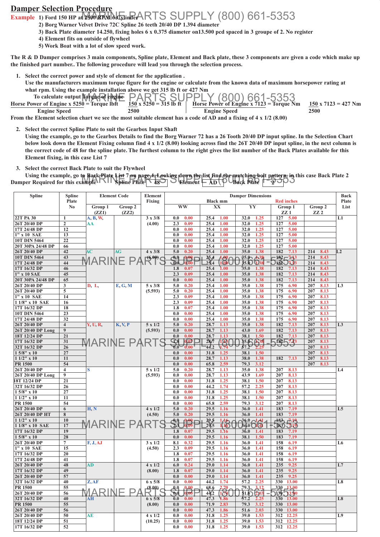# **Damper Selection Procedure**

**Example 1) Ford 150 HP at 2500 RPM 6 Cylinder** MARINE PARTS SUPPLY (800) 661-5353

- **2) Borg Warner Velvet Drive 72C Spline 26 teeth 20/40 DP 1.394 diameter**
- **3) Back Plate diameter 14.250, fixing holes 6 x 0.375 diameter on13.500 pcd spaced in 3 groupe of 2. No register**
- **4) Element fits on outside of flywheel**
- **5) Work Boat with a lot of slow speed work.**

**The R & D Damper comprises 3 main components, Spline plate, Element and Back plate, these 3 components are given a code which make up the finished part number.. The following procedure will lead you through the selection process.**

- **1. Select the correct power and style of element for the application . Use the manufacturers maximum torque figure for the engine or calculate from the known data of maximum horsepower rating at what rpm. Using the example installation above we get 315 lb ft or 427 Nm To calculate output Torque of engine Horse Power of Engine x 5250 = Torque lbft** MARRINE PARTS SUPPLY (800) 661-5353
- **Horse Power of Engine x 5250 = Torque lbft 150 x 5250 = 315 lb ft | Horse Power of Engine x 7123 = Torque Nm 150 x 7123 = 427 Nm Engine Speed 2500 Engine Speed 2500**

**From the Element selection chart we see the most suitable element has a code of AD and a fixing of 4 x 1/2 (8.00)**

- **2. Select the correct Spline Plate to suit the Gearbox Input Shaft**
	- **Using the example, go to the Gearbox Details to find the Borg Warner 72 has a 26 Tooth 20/40 DP input spline. In the Selection Chart below look down the Element Fixing column find 4 x 1/2 (8.00) looking across find the 26T 20/40 DP input spline, in the next column is the correct code of 48 for the spline plate. The furthest column to the right gives the list number of the Back Plates available for this Element fixing, in this case List 7**

**3. Select the correct Back Plate to suit the Flywheel**

Using the example, go to Back Plate List 7 on page 4. Looking down the list find the matching bolt pattern, in this case Back Plate 2 Using the example, go to Back Plate Plate 1981 page 4-Looking down the list this disc matching bolt pattern, in th<br>Damper Required for this example Spline Plate  $\sqrt{48}$ 

| <b>Spline</b>                  | <b>Spline</b>                 | <b>Element Code</b>   | Element   | <b>Damper Dimensions</b><br><b>Black mm</b><br><b>Red inches</b> |                         |              |              |              |                              |                            | <b>Back</b>                |                |
|--------------------------------|-------------------------------|-----------------------|-----------|------------------------------------------------------------------|-------------------------|--------------|--------------|--------------|------------------------------|----------------------------|----------------------------|----------------|
|                                | Plate<br>N <sub>0</sub>       | Group 1               | Group 2   | Fixing                                                           |                         | <b>WW</b>    | XX           |              | YY                           | Group 1                    | Group 2                    | Plate<br>List  |
|                                |                               | (ZZ1)                 | (ZZ2)     |                                                                  |                         |              |              |              |                              | ZZ1                        | ZZ <sub>2</sub>            |                |
| 22T PA 30                      | 1                             | A, B, W,              |           | $3 \times 3/8$                                                   | 0.0                     | 0.00         | 25.4         | 1.00         | 32.0<br>1.25                 | 127<br>5.00                |                            | L1             |
| 26T 20/40 DP                   | $\mathbf{2}$                  | AA                    |           | (4.00)                                                           | 2.3                     | 0.09         | 25.4         | 1.00         | 32.0<br>1.25                 | 127<br>5.00                |                            |                |
| 17T 24/48 DP                   | 12                            |                       |           |                                                                  | 0.0                     | 0.00         | 25.4         | 1.00         | 32.0<br>1.25                 | 5.00<br>127                |                            |                |
| 1" x 10 SAE                    | 13                            |                       |           |                                                                  | 0.0                     | 0.00         | 25.4         | 1.00         | 32.0<br>1.25                 | 127<br>5.00                |                            |                |
| 10T DIN 5464                   | 22                            |                       |           |                                                                  | 0.0                     | 0.00         | 25.4         | 1.00         | 1.25<br>32.0                 | 5.00<br>127                |                            |                |
| 20T 30PA 24/48 DP              | 66                            |                       |           |                                                                  | 0.0                     | 0.00         | 25.4         | 1.00         | 32.0<br>1.25                 | 5.00<br>127                |                            |                |
| 26T 20/40 DP                   | 42                            | AC                    | <b>AG</b> | $4 \times 3/8$                                                   | 5.0                     | 0.20         | 25.4         | 1.00         | 35.0<br>1.38                 | 7.13<br>182                | 214<br>8.43                | L2             |
| 10T DIN 5464                   | 43                            | <del>M</del> ARINE PA |           | (6.00)                                                           | $-0.0$                  | 0.00         | 25,4         | $1.00 \sim$  | $35.0 - A38$                 | $-182 - 733$               | 214<br>8.43                |                |
| 17T 24/48 DP                   | 44                            |                       |           |                                                                  | $\mathbf{\overline{w}}$ | 0.00         | 25.4         | $100\degree$ | 35.0<br>$\overline{1}38$     | <b>J182 J7J3</b>           | 214<br>8.43                |                |
| 17T 16/32 DP                   | 46                            |                       |           |                                                                  | 1.8                     | 0.07         | 25.4         | 1.00         | 35.0<br>1.38                 | 182<br>7.13                | 214<br>8.43                |                |
| 1" x 10 SAE                    | 45                            |                       |           |                                                                  | 2.3                     | 0.09         | 25.4         | 1.00         | 35.0<br>1.38                 | 182<br>7.13                | 214<br>8.43                |                |
| 20T 30PA 24/48 DP              | 65                            |                       |           |                                                                  | 0.0                     | 0.00         | 25.4         | 1.00         | 35.0<br>1.38                 | 182<br>7.13                | 214<br>8.43                |                |
| 26T 20/40 DP                   | 3                             | D, L,                 | E, G, M   | $5 \times 3/8$                                                   | 5.0                     | 0.20         | 25.4         | 1.00         | 35.0<br>1.38                 | 175<br>6.90                | 8.13<br>207                | L <sub>3</sub> |
| 26T 20/40 DP                   | 5                             |                       |           | (5.593)                                                          | 5.0                     | 0.20         | 25.4         | 1.00         | 35.0<br>1.38                 | 175<br>6.90                | 207<br>8.13                |                |
| 1" x 10 SAE                    | 14                            |                       |           |                                                                  | 2.3                     | 0.09         | 25.4         | 1.00         | 35.0<br>1.38                 | 175<br>6.90                | 207<br>8.13                |                |
| 1 1/8" x 10 SAE                | 16                            |                       |           |                                                                  | 2.3                     | 0.09         | 25.4         | 1.00         | 35.0<br>1.38                 | 175<br>6.90                | 207<br>8.13                |                |
| 17T 16/32 DP                   | 18                            |                       |           |                                                                  | 1.8                     | 0.07         | 25.4         | 1.00         | 35.0<br>1.38                 | 175<br>6.90                | 207<br>8.13<br>8.13        |                |
| 10T DIN 5464                   | 23                            |                       |           |                                                                  | 0.0                     | 0.00         | 25.4         | 1.00         | 35.0<br>1.38                 | 175<br>6.90                | 207                        |                |
| 17T 24/48 DP<br>26T 20/40 DP   | 32<br>$\overline{\mathbf{4}}$ | $Y, U, R$ ,           | K, V, P   | $5 \times 1/2$                                                   | 0.0<br>5.0              | 0.00<br>0.20 | 25.4<br>28.7 | 1.00<br>1.13 | 35.0<br>1.38<br>35.0<br>1.38 | 175<br>6.90<br>182<br>7.13 | 207<br>8.13<br>8.13<br>207 | L <sub>3</sub> |
| 26T 20/40 DP Long              | 9                             |                       |           | (5.593)                                                          | 0.0                     | 0.00         | 28.7         | 1.13         | 43.0<br>1.69                 | 182<br>7.13                | 8.13<br>207                |                |
| 18T 12/24 DP                   | 21                            |                       |           |                                                                  | 0.0                     | 0.00         | 28.7         | 1.13         | 38.1<br>1.50                 | 7.13<br>182                | 8.13<br>207                |                |
| 17T 16/32 DP                   | 31                            |                       |           |                                                                  | $\mathbb{C}^3$          | 0.07         | 28/7         | 1.13         | 35.0<br>438                  | 18257.23                   | 207<br>8.13                |                |
| 32T 16/32 DP                   | 26                            | MARINE PARTS          |           |                                                                  | $\pi'$ 0                | 0.00         | 44.2         | 1.74         | 57.2                         |                            | 8.13<br>207                |                |
| $15/8"$ x 10                   | 27                            |                       |           |                                                                  | 0.0                     | 0.00         | 31.8         | 1.25         | 38.1<br>1.50                 |                            | 207<br>8.13                |                |
| $11/2"$ x 10                   | 11                            |                       |           |                                                                  | 0.0                     | 0.00         | 28.7         | 1.13         | 38.0<br>1.38                 | 182<br>7.13                | 207<br>8.13                |                |
| <b>PR 1500</b>                 | 54                            |                       |           |                                                                  | 0.0                     | 0.00         | 65.8         | 2.59         | 79.3<br>3.12                 |                            | 8.13<br>207                |                |
| 26T 20/40 DP                   | $\overline{4}$                | S                     |           | $5 \times 1/2$                                                   | 5.0                     | 0.20         | 28.7         | 1.13         | 35.0<br>1.38                 | 207<br>8.13                |                            | L4             |
| 26T 20/40 DP Long              | 9                             |                       |           | (5.593)                                                          | 0.0                     | 0.00         | 28.7         | 1.13         | 43.9<br>1.69                 | 8.13<br>207                |                            |                |
| 18T 12/24 DP                   | 21                            |                       |           |                                                                  | 0.0                     | 0.00         | 31.8         | 1.25         | 38.1<br>1.50                 | 207<br>8.13                |                            |                |
| 32T 16/32 DP                   | 26                            |                       |           |                                                                  | 0.0                     | 0.00         | 44.2         | 1.74         | 2.25<br>57.2                 | 207<br>8.13                |                            |                |
| $15/8"$ x 10                   | 27                            |                       |           |                                                                  | 0.0                     | 0.00         | 31.8         | 1.25         | 38.1<br>1.50                 | 8.13<br>207                |                            |                |
| $11/2"$ x 10                   | 11                            |                       |           |                                                                  | 0.0                     | 0.00         | 31.8         | 1.25         | 38.1<br>1.50                 | 8.13<br>207                |                            |                |
| PR 1500                        | 54                            |                       |           |                                                                  | 0.0                     | 0.00         | 65.8         | 2.59         | 79.3<br>3.12                 | 207<br>8.13                |                            |                |
| 26T 20/40 DP                   | 6                             | H, N                  |           | $4 \times 1/2$                                                   | 5.0                     | 0.20         | 29.5         | 1.16         | 1.41<br>36.0                 | 7.19<br>183                |                            | L <sub>5</sub> |
| 26T 20/40 DP HT                | 8                             |                       |           | (4.50)                                                           | 5.0                     | 0.20         | 29.5         | 1.16         | 36.0<br>1.41                 | 183<br>7.19                |                            |                |
| $11/2"$ x 10                   | 10                            |                       |           |                                                                  | $\rightarrow 0$         | $^{0.00}$    | 29.5         | 1.16         | 36.0<br>$\bigcap A$          | $-183$<br>7.19             |                            |                |
| 1 1/8" x 10 SAE                | 17                            | MARINE PART           |           |                                                                  | $\sum_{i=1}^{n}$        | 0.09         | 29.5         | 1.16         | $36.0$ $\bigcirc$ $\bigcirc$ | 183 719                    |                            |                |
| 17T 16/32 DP                   | 19                            |                       |           |                                                                  | 1.8                     | 0.07         | 29.5         | 1.16         | 36.0<br>1.41                 | 183<br>7.19                |                            |                |
| $15/8"$ x 10                   | 28                            |                       |           |                                                                  | 0.0                     | 0.00         | 29.5         | 1.16         | 38.1<br>1.50                 | 183<br>7.19                |                            |                |
| 26T 20/40 DP                   | $\overline{7}$                | F, J, AJ              |           | $3 \times 1/2$                                                   | 8.1                     | 0.32         | 29.5         | 1.16         | 36.0<br>1.41                 | 158<br>6.19                |                            | L6             |
| 1" x 10 SAE                    | 15                            |                       |           | (4.50)                                                           | 2.3                     | 0.09         | 29.5         | 1.16         | 36.0<br>1.41                 | 158<br>6.19                |                            |                |
| 17T 16/32 DP                   | 20                            |                       |           |                                                                  | 1.8                     | 0.07         | 29.5         | 1.16         | 36.0<br>1.41                 | 158<br>6.19                |                            |                |
| 17T 24/48 DP                   | 41                            |                       |           |                                                                  | 1.8                     | 0.07         | 29.5         | 1.16         | 36.0<br>1.41                 | 158<br>6.19                |                            |                |
| 26T 20/40 DP                   | 48                            | <b>AD</b>             |           | $4 \times 1/2$                                                   | 6.0                     | 0.24         | 29.0         | 1.14         | 36.0<br>1.41                 | 235<br>9.25                |                            | L7             |
| 17T 16/32 DP                   | 49                            |                       |           | (8.00)                                                           | 1.8                     | 0.07         | 29.0         | 1.14         | 36.0<br>1.41                 | 235<br>9.25                |                            |                |
| 26T 20/40 DP                   | 57                            |                       |           |                                                                  | 0.0                     | 0.00         | 29.0         | 1.14         | 36.0 1.41                    | 235 9.25                   |                            |                |
| 32T 16/32 DP                   | 40                            | Z, AF                 |           | $6 \times 5/8$                                                   | 0.0                     | 0.00         | 44.2         | 1.74         | 57.2 2.25                    | 330 13.00                  |                            | L8             |
| <b>PR 1500</b>                 | 55                            | MARI                  | NE.       | (8.00)                                                           | $\mathbf{0.0}$          | 0.00         | 68.6         | 2,70         | $79.3$ , $3.12$              | $330 - 3.00$               |                            |                |
| 26T 20/40 DP                   | 56                            |                       |           |                                                                  | ЪC                      | 0.00         | 44.2         | 174          | 31.6203                      | $7330 - 3.00$              |                            |                |
| 32T 16/32 DP<br><b>PR 1500</b> | 40<br>55                      | AH                    |           | $6 \times 5/8$<br>(8.00)                                         | 0.0<br>0.0              | 0.00<br>0.00 | 47.3<br>71.9 | 1.86<br>2.83 | 2.25<br>57.2<br>79.3<br>3.12 | 330 13.00                  |                            | L8             |
| 26T 20/40 DP                   | 56                            |                       |           |                                                                  | 0.0                     | 0.00         | 47.3         | 1.86         | 51.6<br>2.03                 | 330 13.00<br>330 13.00     |                            |                |
| 26T 20/40 DP                   | 50                            | AE                    |           | $4 \times 1/2$                                                   | 0.0                     | 0.00         | 31.8         | 1.25         | 39.0<br>1.53                 | 312 12.25                  |                            | L9             |
| 18T 12/24 DP                   | 51                            |                       |           | (10.25)                                                          | 0.0                     | 0.00         | 31.8         | 1.25         | 39.0<br>1.53                 | 312 12.25                  |                            |                |
| 17T 16/32 DP                   | 52                            |                       |           |                                                                  | 0.0                     | 0.00         | 31.8         | 1.25         | 39.0<br>1.53                 | 312 12.25                  |                            |                |
|                                |                               |                       |           |                                                                  |                         |              |              |              |                              |                            |                            |                |